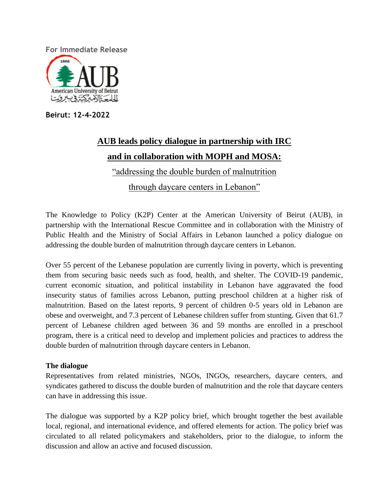

**Beirut: 12-4-2022**

# **AUB leads policy dialogue in partnership with IRC and in collaboration with MOPH and MOSA:**  "addressing the double burden of malnutrition through daycare centers in Lebanon"

The Knowledge to Policy (K2P) Center at the American University of Beirut (AUB), in partnership with the International Rescue Committee and in collaboration with the Ministry of Public Health and the Ministry of Social Affairs in Lebanon launched a policy dialogue on addressing the double burden of malnutrition through daycare centers in Lebanon.

Over 55 percent of the Lebanese population are currently living in poverty, which is preventing them from securing basic needs such as food, health, and shelter. The COVID-19 pandemic, current economic situation, and political instability in Lebanon have aggravated the food insecurity status of families across Lebanon, putting preschool children at a higher risk of malnutrition. Based on the latest reports, 9 percent of children 0-5 years old in Lebanon are obese and overweight, and 7.3 percent of Lebanese children suffer from stunting. Given that 61.7 percent of Lebanese children aged between 36 and 59 months are enrolled in a preschool program, there is a critical need to develop and implement policies and practices to address the double burden of malnutrition through daycare centers in Lebanon.

## **The dialogue**

Representatives from related ministries, NGOs, INGOs, researchers, daycare centers, and syndicates gathered to discuss the double burden of malnutrition and the role that daycare centers can have in addressing this issue.

The dialogue was supported by a K2P policy brief, which brought together the best available local, regional, and international evidence, and offered elements for action. The policy brief was circulated to all related policymakers and stakeholders, prior to the dialogue, to inform the discussion and allow an active and focused discussion.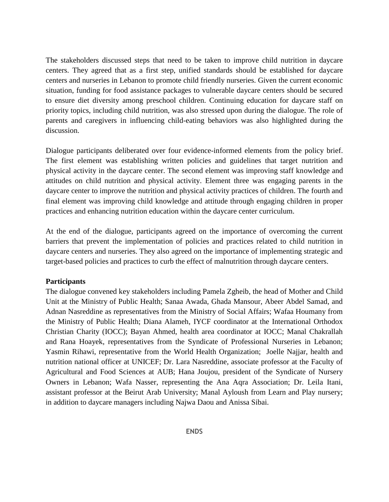The stakeholders discussed steps that need to be taken to improve child nutrition in daycare centers. They agreed that as a first step, unified standards should be established for daycare centers and nurseries in Lebanon to promote child friendly nurseries. Given the current economic situation, funding for food assistance packages to vulnerable daycare centers should be secured to ensure diet diversity among preschool children. Continuing education for daycare staff on priority topics, including child nutrition, was also stressed upon during the dialogue. The role of parents and caregivers in influencing child-eating behaviors was also highlighted during the discussion.

Dialogue participants deliberated over four evidence-informed elements from the policy brief. The first element was establishing written policies and guidelines that target nutrition and physical activity in the daycare center. The second element was improving staff knowledge and attitudes on child nutrition and physical activity. Element three was engaging parents in the daycare center to improve the nutrition and physical activity practices of children. The fourth and final element was improving child knowledge and attitude through engaging children in proper practices and enhancing nutrition education within the daycare center curriculum.

At the end of the dialogue, participants agreed on the importance of overcoming the current barriers that prevent the implementation of policies and practices related to child nutrition in daycare centers and nurseries. They also agreed on the importance of implementing strategic and target-based policies and practices to curb the effect of malnutrition through daycare centers.

#### **Participants**

The dialogue convened key stakeholders including Pamela Zgheib, the head of Mother and Child Unit at the Ministry of Public Health; Sanaa Awada, Ghada Mansour, Abeer Abdel Samad, and Adnan Nasreddine as representatives from the Ministry of Social Affairs; Wafaa Houmany from the Ministry of Public Health; Diana Alameh, IYCF coordinator at the International Orthodox Christian Charity (IOCC); Bayan Ahmed, health area coordinator at IOCC; Manal Chakrallah and Rana Hoayek, representatives from the Syndicate of Professional Nurseries in Lebanon; Yasmin Rihawi, representative from the World Health Organization; Joelle Najjar, health and nutrition national officer at UNICEF; Dr. Lara Nasreddine, associate professor at the Faculty of Agricultural and Food Sciences at AUB; Hana Joujou, president of the Syndicate of Nursery Owners in Lebanon; Wafa Nasser, representing the Ana Aqra Association; Dr. Leila Itani, assistant professor at the Beirut Arab University; Manal Ayloush from Learn and Play nursery; in addition to daycare managers including Najwa Daou and Anissa Sibai.